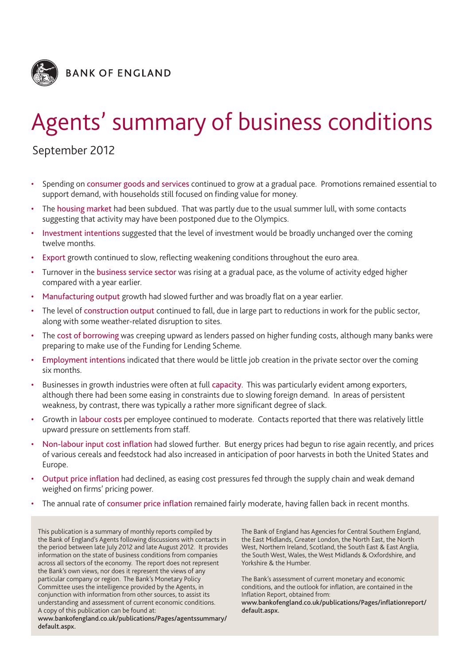

# Agents' summary of business conditions

# September 2012

- Spending on consumer goods and services continued to grow at a gradual pace. Promotions remained essential to support demand, with households still focused on finding value for money.
- The housing market had been subdued. That was partly due to the usual summer lull, with some contacts suggesting that activity may have been postponed due to the Olympics.
- Investment intentions suggested that the level of investment would be broadly unchanged over the coming twelve months.
- Export growth continued to slow, reflecting weakening conditions throughout the euro area.
- Turnover in the business service sector was rising at a gradual pace, as the volume of activity edged higher compared with a year earlier.
- Manufacturing output growth had slowed further and was broadly flat on a year earlier.
- The level of construction output continued to fall, due in large part to reductions in work for the public sector, along with some weather-related disruption to sites.
- The cost of borrowing was creeping upward as lenders passed on higher funding costs, although many banks were preparing to make use of the Funding for Lending Scheme.
- Employment intentions indicated that there would be little job creation in the private sector over the coming six months.
- Businesses in growth industries were often at full capacity. This was particularly evident among exporters, although there had been some easing in constraints due to slowing foreign demand. In areas of persistent weakness, by contrast, there was typically a rather more significant degree of slack.
- Growth in labour costs per employee continued to moderate. Contacts reported that there was relatively little upward pressure on settlements from staff.
- Non-labour input cost inflation had slowed further. But energy prices had begun to rise again recently, and prices of various cereals and feedstock had also increased in anticipation of poor harvests in both the United States and Europe.
- Output price inflation had declined, as easing cost pressures fed through the supply chain and weak demand weighed on firms' pricing power.
- The annual rate of consumer price inflation remained fairly moderate, having fallen back in recent months.

This publication is a summary of monthly reports compiled by the Bank of England's Agents following discussions with contacts in the period between late July 2012 and late August 2012. It provides information on the state of business conditions from companies across all sectors of the economy. The report does not represent the Bank's own views, nor does it represent the views of any particular company or region. The Bank's Monetary Policy Committee uses the intelligence provided by the Agents, in conjunction with information from other sources, to assist its understanding and assessment of current economic conditions. A copy of this publication can be found at:

**www.bankofengland.co.uk/publications/Pages/agentssummary/ default.aspx.**

The Bank of England has Agencies for Central Southern England, the East Midlands, Greater London, the North East, the North West, Northern Ireland, Scotland, the South East & East Anglia, the South West, Wales, the West Midlands & Oxfordshire, and Yorkshire & the Humber.

The Bank's assessment of current monetary and economic conditions, and the outlook for inflation, are contained in the Inflation Report, obtained from:

**www.bankofengland.co.uk/publications/Pages/inflationreport/ default.aspx.**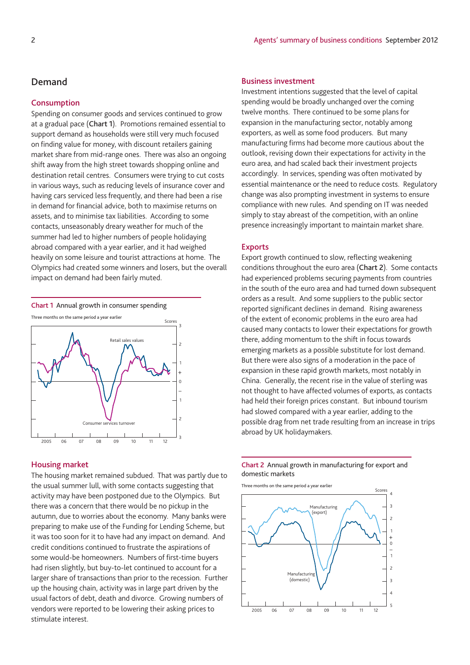#### **Consumption**

Spending on consumer goods and services continued to grow at a gradual pace (**Chart 1**). Promotions remained essential to support demand as households were still very much focused on finding value for money, with discount retailers gaining market share from mid-range ones. There was also an ongoing shift away from the high street towards shopping online and destination retail centres. Consumers were trying to cut costs in various ways, such as reducing levels of insurance cover and having cars serviced less frequently, and there had been a rise in demand for financial advice, both to maximise returns on assets, and to minimise tax liabilities. According to some contacts, unseasonably dreary weather for much of the summer had led to higher numbers of people holidaying abroad compared with a year earlier, and it had weighed heavily on some leisure and tourist attractions at home. The Olympics had created some winners and losers, but the overall impact on demand had been fairly muted.

**Chart 1** Annual growth in consumer spending



#### **Housing market**

The housing market remained subdued. That was partly due to the usual summer lull, with some contacts suggesting that activity may have been postponed due to the Olympics. But there was a concern that there would be no pickup in the autumn, due to worries about the economy. Many banks were preparing to make use of the Funding for Lending Scheme, but it was too soon for it to have had any impact on demand. And credit conditions continued to frustrate the aspirations of some would-be homeowners. Numbers of first-time buyers had risen slightly, but buy-to-let continued to account for a larger share of transactions than prior to the recession. Further up the housing chain, activity was in large part driven by the usual factors of debt, death and divorce. Growing numbers of vendors were reported to be lowering their asking prices to stimulate interest.

#### 2 Agents' summary of business conditions September 2012

#### **Business investment**

Investment intentions suggested that the level of capital spending would be broadly unchanged over the coming twelve months. There continued to be some plans for expansion in the manufacturing sector, notably among exporters, as well as some food producers. But many manufacturing firms had become more cautious about the outlook, revising down their expectations for activity in the euro area, and had scaled back their investment projects accordingly. In services, spending was often motivated by essential maintenance or the need to reduce costs. Regulatory change was also prompting investment in systems to ensure compliance with new rules. And spending on IT was needed simply to stay abreast of the competition, with an online presence increasingly important to maintain market share.

#### **Exports**

Export growth continued to slow, reflecting weakening conditions throughout the euro area (**Chart 2**). Some contacts had experienced problems securing payments from countries in the south of the euro area and had turned down subsequent orders as a result. And some suppliers to the public sector reported significant declines in demand. Rising awareness of the extent of economic problems in the euro area had caused many contacts to lower their expectations for growth there, adding momentum to the shift in focus towards emerging markets as a possible substitute for lost demand. But there were also signs of a moderation in the pace of expansion in these rapid growth markets, most notably in China. Generally, the recent rise in the value of sterling was not thought to have affected volumes of exports, as contacts had held their foreign prices constant. But inbound tourism had slowed compared with a year earlier, adding to the possible drag from net trade resulting from an increase in trips abroad by UK holidaymakers.



Three months on the same period a year earlier

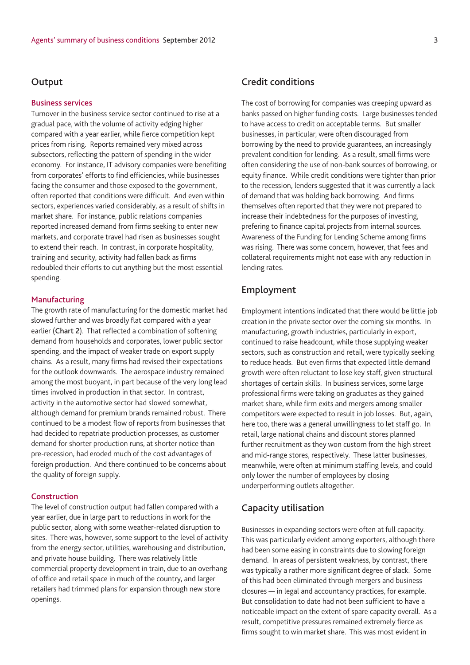### **Output**

#### **Business services**

Turnover in the business service sector continued to rise at a gradual pace, with the volume of activity edging higher compared with a year earlier, while fierce competition kept prices from rising. Reports remained very mixed across subsectors, reflecting the pattern of spending in the wider economy. For instance, IT advisory companies were benefiting from corporates' efforts to find efficiencies, while businesses facing the consumer and those exposed to the government, often reported that conditions were difficult. And even within sectors, experiences varied considerably, as a result of shifts in market share. For instance, public relations companies reported increased demand from firms seeking to enter new markets, and corporate travel had risen as businesses sought to extend their reach. In contrast, in corporate hospitality, training and security, activity had fallen back as firms redoubled their efforts to cut anything but the most essential spending.

#### **Manufacturing**

The growth rate of manufacturing for the domestic market had slowed further and was broadly flat compared with a year earlier (**Chart 2**). That reflected a combination of softening demand from households and corporates, lower public sector spending, and the impact of weaker trade on export supply chains. As a result, many firms had revised their expectations for the outlook downwards. The aerospace industry remained among the most buoyant, in part because of the very long lead times involved in production in that sector. In contrast, activity in the automotive sector had slowed somewhat, although demand for premium brands remained robust. There continued to be a modest flow of reports from businesses that had decided to repatriate production processes, as customer demand for shorter production runs, at shorter notice than pre-recession, had eroded much of the cost advantages of foreign production. And there continued to be concerns about the quality of foreign supply.

#### **Construction**

The level of construction output had fallen compared with a year earlier, due in large part to reductions in work for the public sector, along with some weather-related disruption to sites. There was, however, some support to the level of activity from the energy sector, utilities, warehousing and distribution, and private house building. There was relatively little commercial property development in train, due to an overhang of office and retail space in much of the country, and larger retailers had trimmed plans for expansion through new store openings.

## **Credit conditions**

The cost of borrowing for companies was creeping upward as banks passed on higher funding costs. Large businesses tended to have access to credit on acceptable terms. But smaller businesses, in particular, were often discouraged from borrowing by the need to provide guarantees, an increasingly prevalent condition for lending. As a result, small firms were often considering the use of non-bank sources of borrowing, or equity finance. While credit conditions were tighter than prior to the recession, lenders suggested that it was currently a lack of demand that was holding back borrowing. And firms themselves often reported that they were not prepared to increase their indebtedness for the purposes of investing, prefering to finance capital projects from internal sources. Awareness of the Funding for Lending Scheme among firms was rising. There was some concern, however, that fees and collateral requirements might not ease with any reduction in lending rates.

# **Employment**

Employment intentions indicated that there would be little job creation in the private sector over the coming six months. In manufacturing, growth industries, particularly in export, continued to raise headcount, while those supplying weaker sectors, such as construction and retail, were typically seeking to reduce heads. But even firms that expected little demand growth were often reluctant to lose key staff, given structural shortages of certain skills. In business services, some large professional firms were taking on graduates as they gained market share, while firm exits and mergers among smaller competitors were expected to result in job losses. But, again, here too, there was a general unwillingness to let staff go. In retail, large national chains and discount stores planned further recruitment as they won custom from the high street and mid-range stores, respectively. These latter businesses, meanwhile, were often at minimum staffing levels, and could only lower the number of employees by closing underperforming outlets altogether.

# **Capacity utilisation**

Businesses in expanding sectors were often at full capacity. This was particularly evident among exporters, although there had been some easing in constraints due to slowing foreign demand. In areas of persistent weakness, by contrast, there was typically a rather more significant degree of slack. Some of this had been eliminated through mergers and business closures — in legal and accountancy practices, for example. But consolidation to date had not been sufficient to have a noticeable impact on the extent of spare capacity overall. As a result, competitive pressures remained extremely fierce as firms sought to win market share. This was most evident in